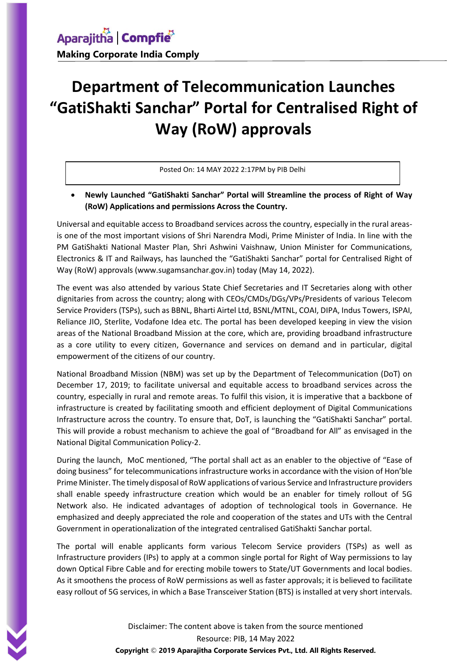## **Department of Telecommunication Launches "GatiShakti Sanchar" Portal for Centralised Right of Way (RoW) approvals**

Posted On: 14 MAY 2022 2:17PM by PIB Delhi

 **Newly Launched "GatiShakti Sanchar" Portal will Streamline the process of Right of Way (RoW) Applications and permissions Across the Country.**

Universal and equitable access to Broadband services across the country, especially in the rural areasis one of the most important visions of Shri Narendra Modi, Prime Minister of India. In line with the PM GatiShakti National Master Plan, Shri Ashwini Vaishnaw, Union Minister for Communications, Electronics & IT and Railways, has launched the "GatiShakti Sanchar" portal for Centralised Right of Way (RoW) approvals (www.sugamsanchar.gov.in) today (May 14, 2022).

The event was also attended by various State Chief Secretaries and IT Secretaries along with other dignitaries from across the country; along with CEOs/CMDs/DGs/VPs/Presidents of various Telecom Service Providers (TSPs), such as BBNL, Bharti Airtel Ltd, BSNL/MTNL, COAI, DIPA, Indus Towers, ISPAI, Reliance JIO, Sterlite, Vodafone Idea etc. The portal has been developed keeping in view the vision areas of the National Broadband Mission at the core, which are, providing broadband infrastructure as a core utility to every citizen, Governance and services on demand and in particular, digital empowerment of the citizens of our country.

National Broadband Mission (NBM) was set up by the Department of Telecommunication (DoT) on December 17, 2019; to facilitate universal and equitable access to broadband services across the country, especially in rural and remote areas. To fulfil this vision, it is imperative that a backbone of infrastructure is created by facilitating smooth and efficient deployment of Digital Communications Infrastructure across the country. To ensure that, DoT, is launching the "GatiShakti Sanchar" portal. This will provide a robust mechanism to achieve the goal of "Broadband for All" as envisaged in the National Digital Communication Policy-2.

During the launch, MoC mentioned, "The portal shall act as an enabler to the objective of "Ease of doing business" for telecommunications infrastructure works in accordance with the vision of Hon'ble Prime Minister. The timely disposal of RoW applications of various Service and Infrastructure providers shall enable speedy infrastructure creation which would be an enabler for timely rollout of 5G Network also. He indicated advantages of adoption of technological tools in Governance. He emphasized and deeply appreciated the role and cooperation of the states and UTs with the Central Government in operationalization of the integrated centralised GatiShakti Sanchar portal.

The portal will enable applicants form various Telecom Service providers (TSPs) as well as Infrastructure providers (IPs) to apply at a common single portal for Right of Way permissions to lay down Optical Fibre Cable and for erecting mobile towers to State/UT Governments and local bodies. As it smoothens the process of RoW permissions as well as faster approvals; it is believed to facilitate easy rollout of 5G services, in which a Base Transceiver Station (BTS) is installed at very short intervals.

> Disclaimer: The content above is taken from the source mentioned Resource: PIB, 14 May 2022 **Copyright** © **2019 Aparajitha Corporate Services Pvt., Ltd. All Rights Reserved.**